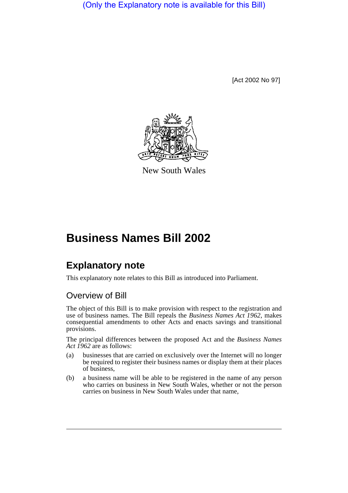(Only the Explanatory note is available for this Bill)

[Act 2002 No 97]



New South Wales

# **Business Names Bill 2002**

# **Explanatory note**

This explanatory note relates to this Bill as introduced into Parliament.

# Overview of Bill

The object of this Bill is to make provision with respect to the registration and use of business names. The Bill repeals the *Business Names Act 1962*, makes consequential amendments to other Acts and enacts savings and transitional provisions.

The principal differences between the proposed Act and the *Business Names Act 1962* are as follows:

- (a) businesses that are carried on exclusively over the Internet will no longer be required to register their business names or display them at their places of business,
- (b) a business name will be able to be registered in the name of any person who carries on business in New South Wales, whether or not the person carries on business in New South Wales under that name,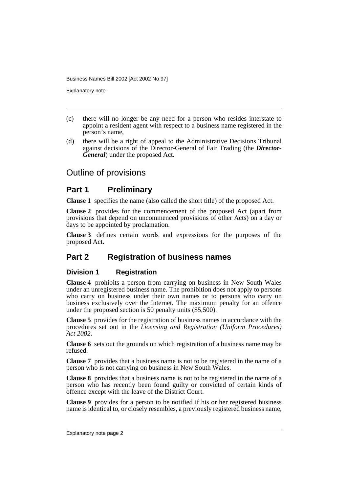Explanatory note

- (c) there will no longer be any need for a person who resides interstate to appoint a resident agent with respect to a business name registered in the person's name,
- (d) there will be a right of appeal to the Administrative Decisions Tribunal against decisions of the Director-General of Fair Trading (the *Director-General*) under the proposed Act.

# Outline of provisions

## **Part 1 Preliminary**

**Clause 1** specifies the name (also called the short title) of the proposed Act.

**Clause 2** provides for the commencement of the proposed Act (apart from provisions that depend on uncommenced provisions of other Acts) on a day or days to be appointed by proclamation.

**Clause 3** defines certain words and expressions for the purposes of the proposed Act.

# **Part 2 Registration of business names**

#### **Division 1 Registration**

**Clause 4** prohibits a person from carrying on business in New South Wales under an unregistered business name. The prohibition does not apply to persons who carry on business under their own names or to persons who carry on business exclusively over the Internet. The maximum penalty for an offence under the proposed section is 50 penalty units (\$5,500).

**Clause 5** provides for the registration of business names in accordance with the procedures set out in the *Licensing and Registration (Uniform Procedures) Act 2002*.

**Clause 6** sets out the grounds on which registration of a business name may be refused.

**Clause 7** provides that a business name is not to be registered in the name of a person who is not carrying on business in New South Wales.

**Clause 8** provides that a business name is not to be registered in the name of a person who has recently been found guilty or convicted of certain kinds of offence except with the leave of the District Court.

**Clause 9** provides for a person to be notified if his or her registered business name is identical to, or closely resembles, a previously registered business name,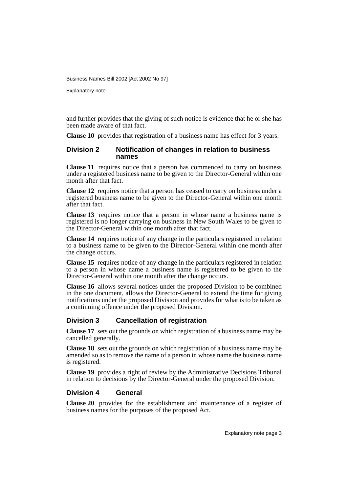Explanatory note

and further provides that the giving of such notice is evidence that he or she has been made aware of that fact.

**Clause 10** provides that registration of a business name has effect for 3 years.

#### **Division 2 Notification of changes in relation to business names**

**Clause 11** requires notice that a person has commenced to carry on business under a registered business name to be given to the Director-General within one month after that fact.

**Clause 12** requires notice that a person has ceased to carry on business under a registered business name to be given to the Director-General within one month after that fact.

**Clause 13** requires notice that a person in whose name a business name is registered is no longer carrying on business in New South Wales to be given to the Director-General within one month after that fact.

**Clause 14** requires notice of any change in the particulars registered in relation to a business name to be given to the Director-General within one month after the change occurs.

**Clause 15** requires notice of any change in the particulars registered in relation to a person in whose name a business name is registered to be given to the Director-General within one month after the change occurs.

**Clause 16** allows several notices under the proposed Division to be combined in the one document, allows the Director-General to extend the time for giving notifications under the proposed Division and provides for what is to be taken as a continuing offence under the proposed Division.

#### **Division 3 Cancellation of registration**

**Clause 17** sets out the grounds on which registration of a business name may be cancelled generally.

**Clause 18** sets out the grounds on which registration of a business name may be amended so as to remove the name of a person in whose name the business name is registered.

**Clause 19** provides a right of review by the Administrative Decisions Tribunal in relation to decisions by the Director-General under the proposed Division.

#### **Division 4 General**

**Clause 20** provides for the establishment and maintenance of a register of business names for the purposes of the proposed Act.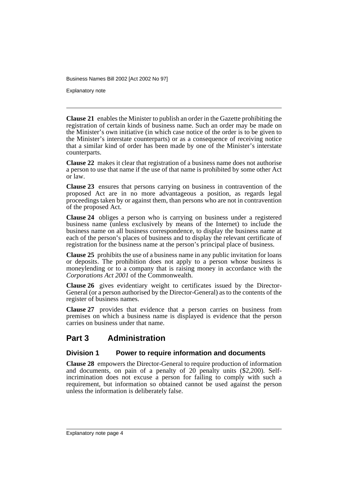Explanatory note

**Clause 21** enables the Minister to publish an order in the Gazette prohibiting the registration of certain kinds of business name. Such an order may be made on the Minister's own initiative (in which case notice of the order is to be given to the Minister's interstate counterparts) or as a consequence of receiving notice that a similar kind of order has been made by one of the Minister's interstate counterparts.

**Clause 22** makes it clear that registration of a business name does not authorise a person to use that name if the use of that name is prohibited by some other Act or law.

**Clause 23** ensures that persons carrying on business in contravention of the proposed Act are in no more advantageous a position, as regards legal proceedings taken by or against them, than persons who are not in contravention of the proposed Act.

**Clause 24** obliges a person who is carrying on business under a registered business name (unless exclusively by means of the Internet) to include the business name on all business correspondence, to display the business name at each of the person's places of business and to display the relevant certificate of registration for the business name at the person's principal place of business.

**Clause 25** prohibits the use of a business name in any public invitation for loans or deposits. The prohibition does not apply to a person whose business is moneylending or to a company that is raising money in accordance with the *Corporations Act 2001* of the Commonwealth.

**Clause 26** gives evidentiary weight to certificates issued by the Director-General (or a person authorised by the Director-General) as to the contents of the register of business names.

**Clause 27** provides that evidence that a person carries on business from premises on which a business name is displayed is evidence that the person carries on business under that name.

# **Part 3 Administration**

#### **Division 1 Power to require information and documents**

**Clause 28** empowers the Director-General to require production of information and documents, on pain of a penalty of 20 penalty units (\$2,200). Selfincrimination does not excuse a person for failing to comply with such a requirement, but information so obtained cannot be used against the person unless the information is deliberately false.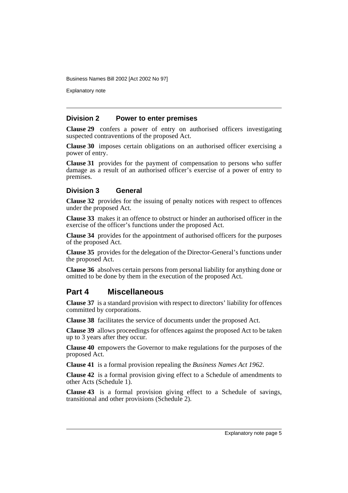Explanatory note

#### **Division 2 Power to enter premises**

**Clause 29** confers a power of entry on authorised officers investigating suspected contraventions of the proposed Act.

**Clause 30** imposes certain obligations on an authorised officer exercising a power of entry.

**Clause 31** provides for the payment of compensation to persons who suffer damage as a result of an authorised officer's exercise of a power of entry to premises.

#### **Division 3 General**

**Clause 32** provides for the issuing of penalty notices with respect to offences under the proposed Act.

**Clause 33** makes it an offence to obstruct or hinder an authorised officer in the exercise of the officer's functions under the proposed Act.

**Clause 34** provides for the appointment of authorised officers for the purposes of the proposed Act.

**Clause 35** provides for the delegation of the Director-General's functions under the proposed Act.

**Clause 36** absolves certain persons from personal liability for anything done or omitted to be done by them in the execution of the proposed Act.

# **Part 4 Miscellaneous**

**Clause 37** is a standard provision with respect to directors' liability for offences committed by corporations.

**Clause 38** facilitates the service of documents under the proposed Act.

**Clause 39** allows proceedings for offences against the proposed Act to be taken up to 3 years after they occur.

**Clause 40** empowers the Governor to make regulations for the purposes of the proposed Act.

**Clause 41** is a formal provision repealing the *Business Names Act 1962*.

**Clause 42** is a formal provision giving effect to a Schedule of amendments to other Acts (Schedule 1).

**Clause 43** is a formal provision giving effect to a Schedule of savings, transitional and other provisions (Schedule 2).